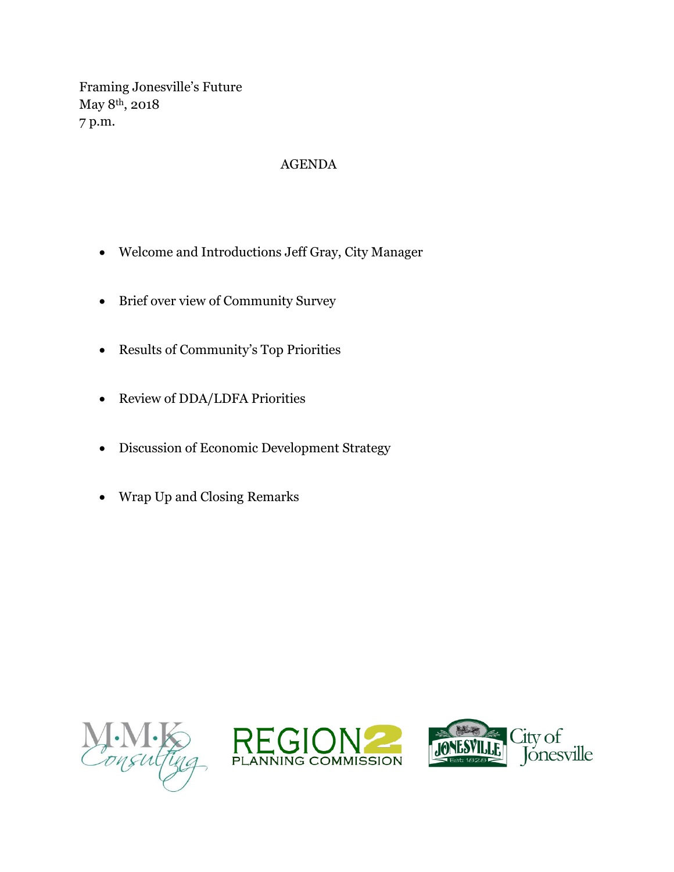Framing Jonesville's Future May 8th, 2018 7 p.m.

## AGENDA

- Welcome and Introductions Jeff Gray, City Manager
- Brief over view of Community Survey
- Results of Community's Top Priorities
- Review of DDA/LDFA Priorities
- Discussion of Economic Development Strategy
- Wrap Up and Closing Remarks





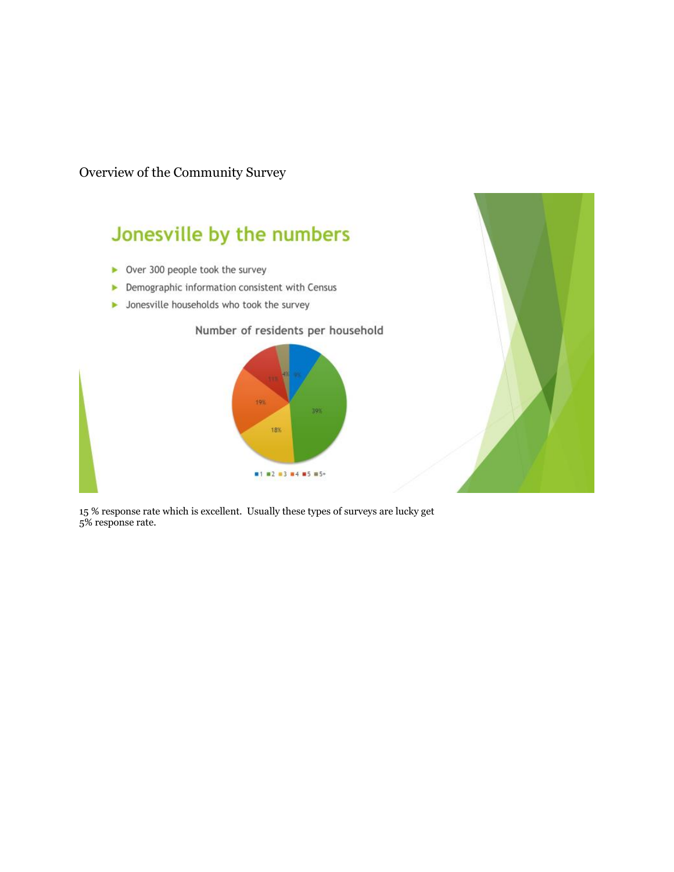Overview of the Community Survey

## Jonesville by the numbers

- Over 300 people took the survey
- Demographic information consistent with Census
- Jonesville households who took the survey





15 % response rate which is excellent. Usually these types of surveys are lucky get 5% response rate.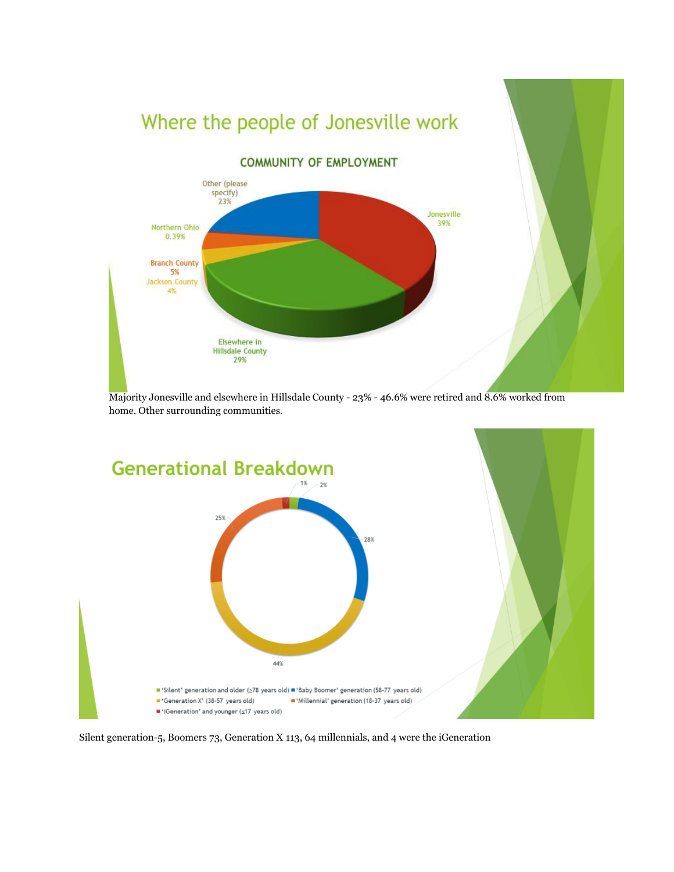





Silent generation-5, Boomers 73, Generation X 113, 64 millennials, and 4 were the iGeneration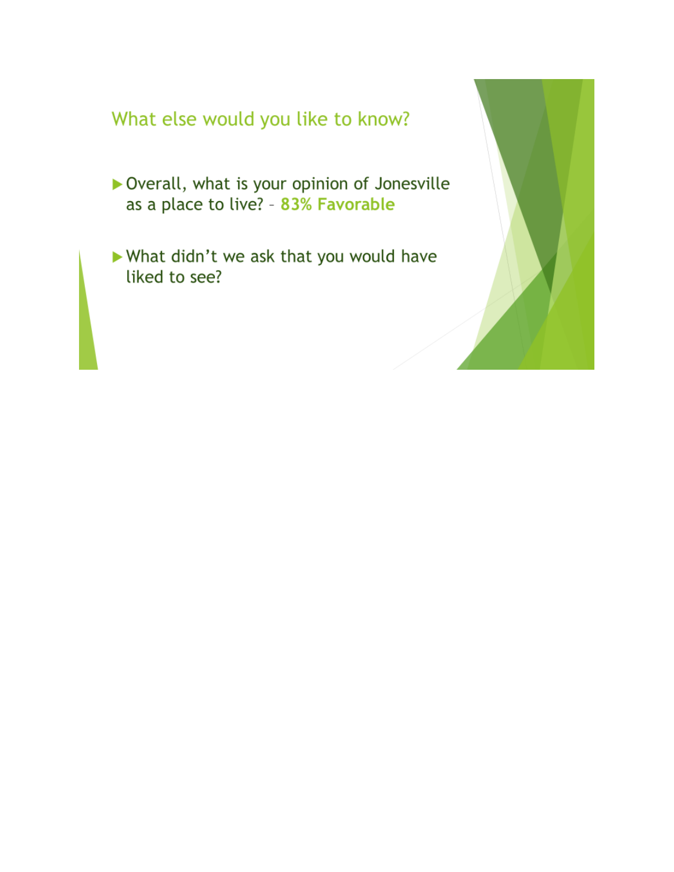## What else would you like to know?

- ▶ Overall, what is your opinion of Jonesville as a place to live? - 83% Favorable
- What didn't we ask that you would have liked to see?

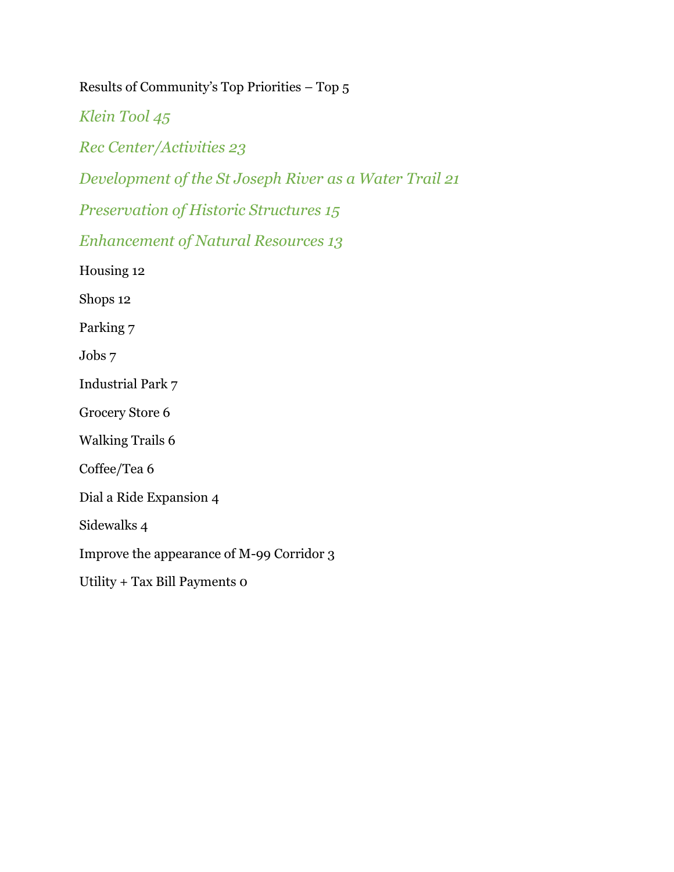Results of Community's Top Priorities – Top 5

*Klein Tool 45*

*Rec Center/Activities 23*

*Development of the St Joseph River as a Water Trail 21*

*Preservation of Historic Structures 15*

*Enhancement of Natural Resources 13*

Housing 12

Shops 12

Parking 7

Jobs 7

Industrial Park 7

Grocery Store 6

Walking Trails 6

Coffee/Tea 6

Dial a Ride Expansion 4

Sidewalks 4

Improve the appearance of M-99 Corridor 3

Utility + Tax Bill Payments 0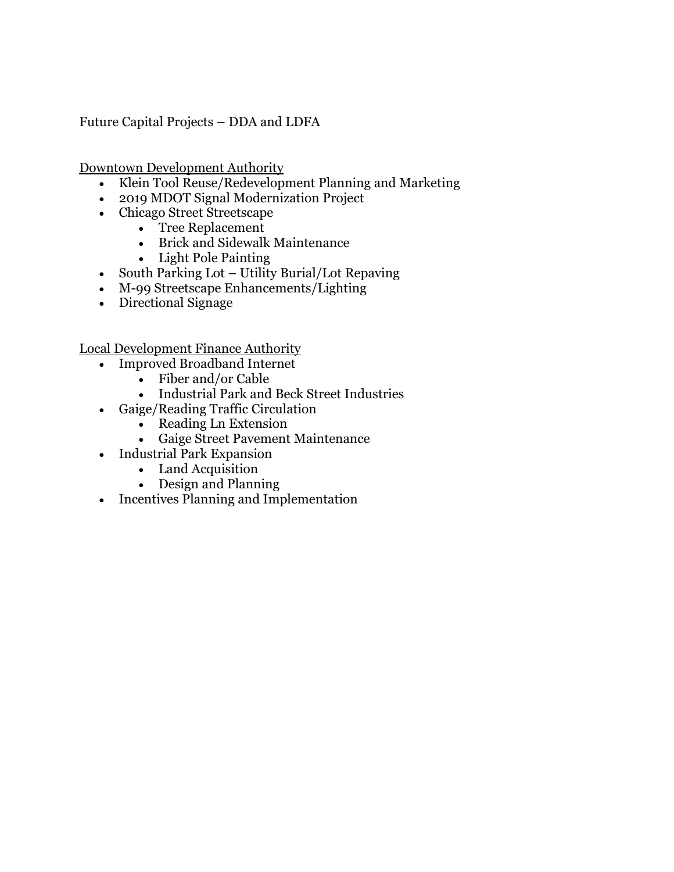Future Capital Projects – DDA and LDFA

Downtown Development Authority

- Klein Tool Reuse/Redevelopment Planning and Marketing
- 2019 MDOT Signal Modernization Project
- Chicago Street Streetscape
	- Tree Replacement
	- Brick and Sidewalk Maintenance
	- Light Pole Painting
- South Parking Lot Utility Burial/Lot Repaving
- M-99 Streetscape Enhancements/Lighting
- Directional Signage

Local Development Finance Authority

- Improved Broadband Internet
	- Fiber and/or Cable
	- Industrial Park and Beck Street Industries
- Gaige/Reading Traffic Circulation
	- Reading Ln Extension
	- Gaige Street Pavement Maintenance
- Industrial Park Expansion
	- Land Acquisition
	- Design and Planning
- Incentives Planning and Implementation